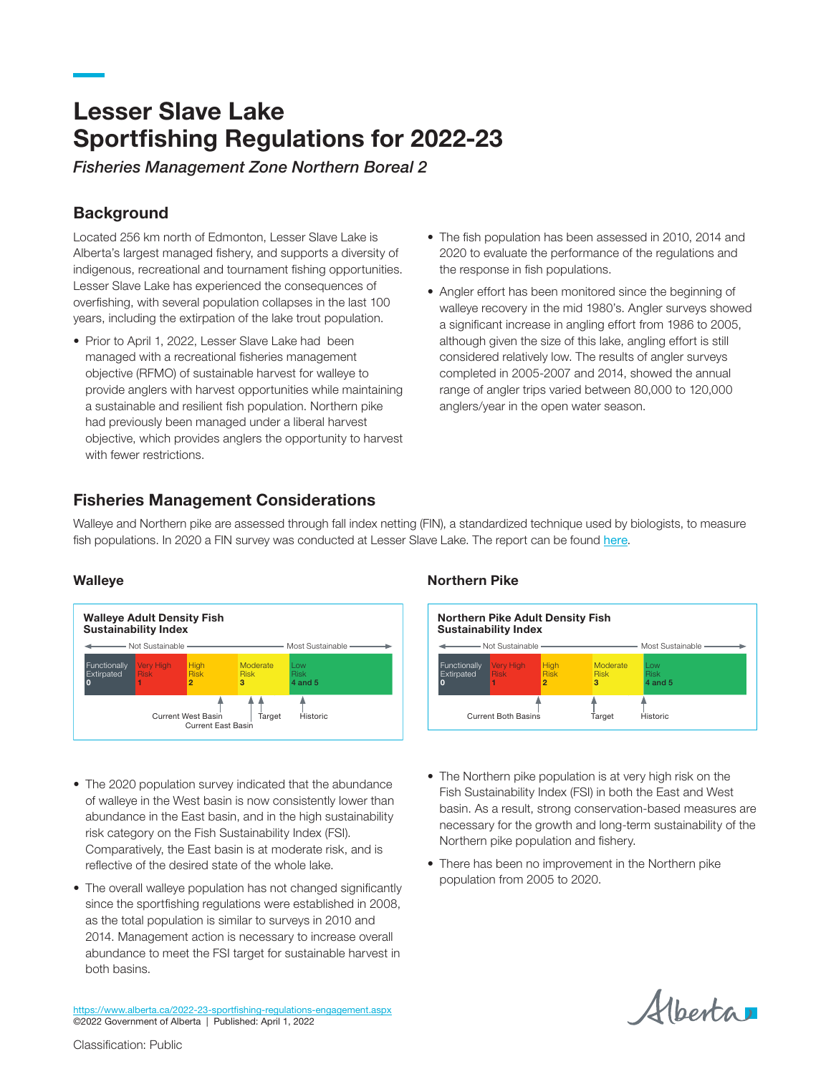# Lesser Slave Lake Sportfishing Regulations for 2022-23

*Fisheries Management Zone Northern Boreal 2*

## **Background**

Located 256 km north of Edmonton, Lesser Slave Lake is Alberta's largest managed fishery, and supports a diversity of indigenous, recreational and tournament fishing opportunities. Lesser Slave Lake has experienced the consequences of overfishing, with several population collapses in the last 100 years, including the extirpation of the lake trout population.

- Prior to April 1, 2022, Lesser Slave Lake had been managed with a recreational fisheries management objective (RFMO) of sustainable harvest for walleye to provide anglers with harvest opportunities while maintaining a sustainable and resilient fish population. Northern pike had previously been managed under a liberal harvest objective, which provides anglers the opportunity to harvest with fewer restrictions.
- The fish population has been assessed in 2010, 2014 and 2020 to evaluate the performance of the regulations and the response in fish populations.
- Angler effort has been monitored since the beginning of walleye recovery in the mid 1980's. Angler surveys showed a significant increase in angling effort from 1986 to 2005, although given the size of this lake, angling effort is still considered relatively low. The results of angler surveys completed in 2005-2007 and 2014, showed the annual range of angler trips varied between 80,000 to 120,000 anglers/year in the open water season.

## Fisheries Management Considerations

Walleye and Northern pike are assessed through fall index netting (FIN), a standardized technique used by biologists, to measure fish populations. In 2020 a FIN survey was conducted at Lesser Slave Lake. The report can be found [here](https://open.alberta.ca/publications/lesser-slave-lake-fin-summary-2020).

#### **Walleye**



- The 2020 population survey indicated that the abundance of walleye in the West basin is now consistently lower than abundance in the East basin, and in the high sustainability risk category on the Fish Sustainability Index (FSI). Comparatively, the East basin is at moderate risk, and is reflective of the desired state of the whole lake.
- The overall walleye population has not changed significantly since the sportfishing regulations were established in 2008, as the total population is similar to surveys in 2010 and 2014. Management action is necessary to increase overall abundance to meet the FSI target for sustainable harvest in both basins.

#### Northern Pike

| <b>Northern Pike Adult Density Fish</b><br><b>Sustainability Index</b><br>—— Not Sustainable -<br>Most Sustainable |                                 |                                 |                              |                                    |
|--------------------------------------------------------------------------------------------------------------------|---------------------------------|---------------------------------|------------------------------|------------------------------------|
| Functionally<br>Extirpated<br>$\mathbf 0$                                                                          | <b>Very High</b><br><b>Risk</b> | <b>High</b><br><b>Risk</b><br>2 | Moderate<br><b>Risk</b><br>з | l ow<br><b>Risk</b><br>$4$ and $5$ |
| <b>Current Both Basins</b>                                                                                         |                                 |                                 | Target                       | Historic                           |

- The Northern pike population is at very high risk on the Fish Sustainability Index (FSI) in both the East and West basin. As a result, strong conservation-based measures are necessary for the growth and long-term sustainability of the Northern pike population and fishery.
- There has been no improvement in the Northern pike population from 2005 to 2020.

Albertar

<https://www.alberta.ca/2022-23-sportfishing-regulations-engagement.aspx> ©2022 Government of Alberta | Published: April 1, 2022